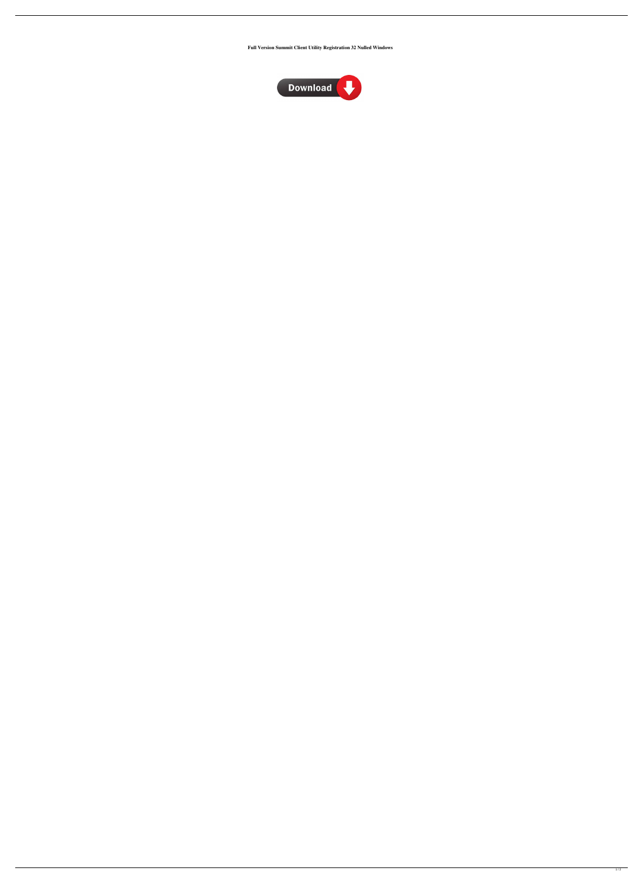**Full Version Summit Client Utility Registration 32 Nulled Windows**